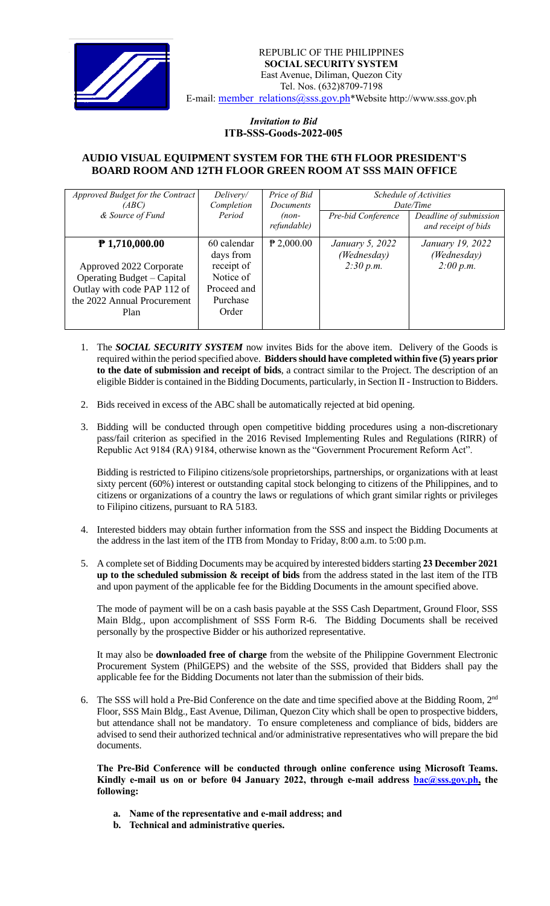

## *Invitation to Bid*  **ITB-SSS-Goods-2022-005**

## **AUDIO VISUAL EQUIPMENT SYSTEM FOR THE 6TH FLOOR PRESIDENT'S BOARD ROOM AND 12TH FLOOR GREEN ROOM AT SSS MAIN OFFICE**

| Approved Budget for the Contract | Delivery/   | Price of Bid     | Schedule of Activities |                        |
|----------------------------------|-------------|------------------|------------------------|------------------------|
| (ABC)                            | Completion  | <b>Documents</b> | Date/Time              |                        |
| & Source of Fund                 | Period      | $(non-$          | Pre-bid Conference     | Deadline of submission |
|                                  |             | refundable)      |                        | and receipt of bids    |
| $P$ 1,710,000.00                 | 60 calendar | $P$ 2,000.00     | January 5, 2022        | January 19, 2022       |
|                                  | days from   |                  | (Wednesday)            | (Wednesday)            |
| Approved 2022 Corporate          | receipt of  |                  | 2:30 p.m.              | 2:00 p.m.              |
| Operating Budget – Capital       | Notice of   |                  |                        |                        |
| Outlay with code PAP 112 of      | Proceed and |                  |                        |                        |
| the 2022 Annual Procurement      | Purchase    |                  |                        |                        |
| Plan                             | Order       |                  |                        |                        |
|                                  |             |                  |                        |                        |

- 1. The *SOCIAL SECURITY SYSTEM* now invites Bids for the above item. Delivery of the Goods is required within the period specified above. **Bidders should have completed within five (5) years prior to the date of submission and receipt of bids**, a contract similar to the Project. The description of an eligible Bidder is contained in the Bidding Documents, particularly, in Section II - Instruction to Bidders.
- 2. Bids received in excess of the ABC shall be automatically rejected at bid opening.
- 3. Bidding will be conducted through open competitive bidding procedures using a non-discretionary pass/fail criterion as specified in the 2016 Revised Implementing Rules and Regulations (RIRR) of Republic Act 9184 (RA) 9184, otherwise known as the "Government Procurement Reform Act".

Bidding is restricted to Filipino citizens/sole proprietorships, partnerships, or organizations with at least sixty percent (60%) interest or outstanding capital stock belonging to citizens of the Philippines, and to citizens or organizations of a country the laws or regulations of which grant similar rights or privileges to Filipino citizens, pursuant to RA 5183.

- 4. Interested bidders may obtain further information from the SSS and inspect the Bidding Documents at the address in the last item of the ITB from Monday to Friday, 8:00 a.m. to 5:00 p.m.
- 5. A complete set of Bidding Documents may be acquired by interested bidders starting **23 December 2021 up to the scheduled submission & receipt of bids** from the address stated in the last item of the ITB and upon payment of the applicable fee for the Bidding Documents in the amount specified above.

The mode of payment will be on a cash basis payable at the SSS Cash Department, Ground Floor, SSS Main Bldg., upon accomplishment of SSS Form R-6. The Bidding Documents shall be received personally by the prospective Bidder or his authorized representative.

It may also be **downloaded free of charge** from the website of the Philippine Government Electronic Procurement System (PhilGEPS) and the website of the SSS*,* provided that Bidders shall pay the applicable fee for the Bidding Documents not later than the submission of their bids.

6. The SSS will hold a Pre-Bid Conference on the date and time specified above at the Bidding Room, 2<sup>nd</sup> Floor, SSS Main Bldg., East Avenue, Diliman, Quezon City which shall be open to prospective bidders, but attendance shall not be mandatory. To ensure completeness and compliance of bids, bidders are advised to send their authorized technical and/or administrative representatives who will prepare the bid documents.

**The Pre-Bid Conference will be conducted through online conference using Microsoft Teams. Kindly e-mail us on or before 04 January 2022, through e-mail address bac@sss.gov.ph, the following:**

- **a. Name of the representative and e-mail address; and**
- **b. Technical and administrative queries.**